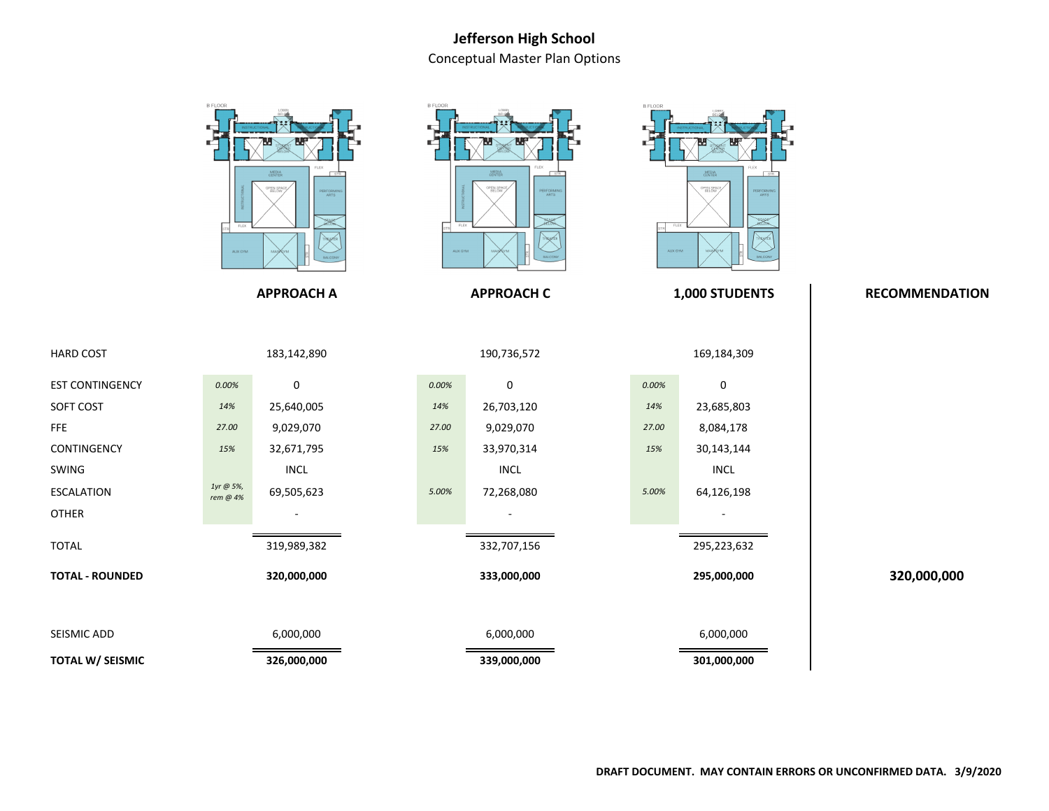## **Jefferson High School**Conceptual Master Plan Options

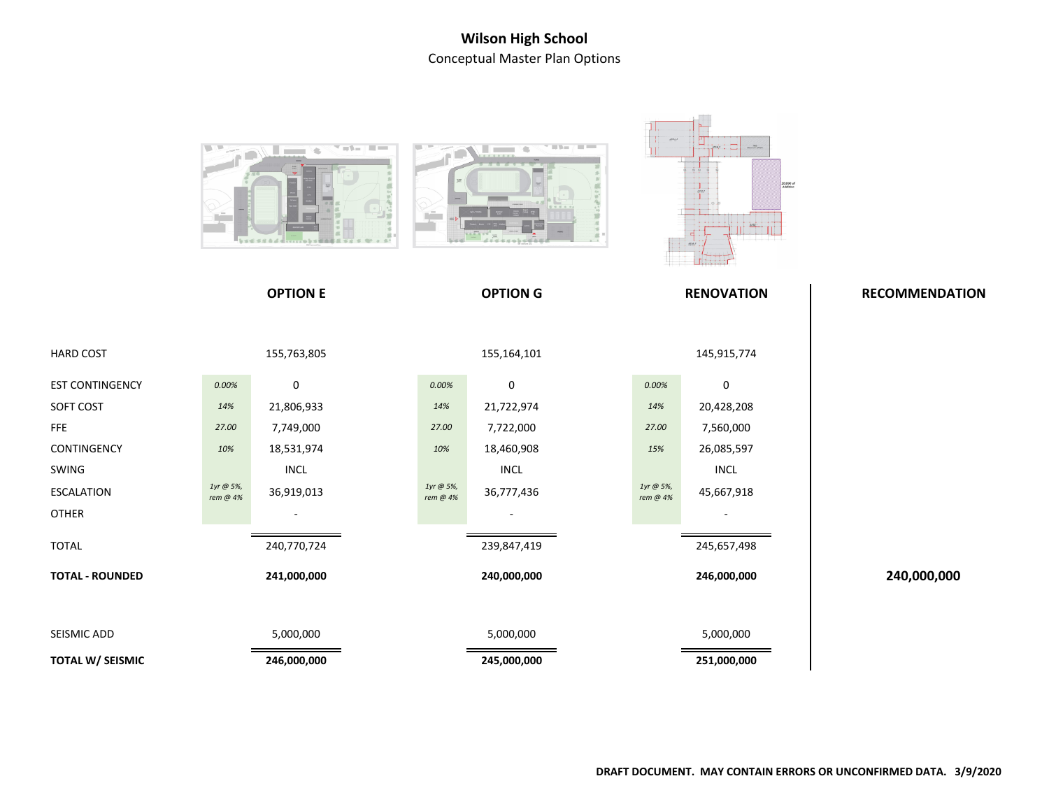## **Wilson High School**Conceptual Master Plan Options

|                         | <b>The Common</b><br>$\blacksquare$<br>$55557866$ and $1.1115$ and $1.11$ |                              | <b>All Service Control</b><br><b>Contract Contract</b><br>V. |                 | H.<br>20,000 sf<br>Arklinian |                   |                       |
|-------------------------|---------------------------------------------------------------------------|------------------------------|--------------------------------------------------------------|-----------------|------------------------------|-------------------|-----------------------|
|                         |                                                                           | <b>OPTION E</b>              |                                                              | <b>OPTION G</b> |                              | <b>RENOVATION</b> | <b>RECOMMENDATION</b> |
| <b>HARD COST</b>        |                                                                           | 155,763,805                  |                                                              | 155,164,101     |                              | 145,915,774       |                       |
| <b>EST CONTINGENCY</b>  | 0.00%                                                                     | 0                            | $0.00\%$                                                     | $\pmb{0}$       | 0.00%                        | 0                 |                       |
| SOFT COST               | 14%                                                                       | 21,806,933                   | 14%                                                          | 21,722,974      | 14%                          | 20,428,208        |                       |
| FFE                     | 27.00                                                                     | 7,749,000                    | 27.00                                                        | 7,722,000       | 27.00                        | 7,560,000         |                       |
| CONTINGENCY             | 10%                                                                       | 18,531,974                   | 10%                                                          | 18,460,908      | 15%                          | 26,085,597        |                       |
| SWING                   |                                                                           | $\ensuremath{\mathsf{INCL}}$ |                                                              | <b>INCL</b>     |                              | <b>INCL</b>       |                       |
| <b>ESCALATION</b>       | $1$ yr @ 5%,<br>rem @ 4%                                                  | 36,919,013                   | 1yr @ 5%,<br>rem @ 4%                                        | 36,777,436      | 1yr @ 5%,<br>rem @ 4%        | 45,667,918        |                       |
| <b>OTHER</b>            |                                                                           |                              |                                                              |                 |                              |                   |                       |
| <b>TOTAL</b>            |                                                                           | 240,770,724                  |                                                              | 239,847,419     |                              | 245,657,498       |                       |
| <b>TOTAL - ROUNDED</b>  |                                                                           | 241,000,000                  |                                                              | 240,000,000     |                              | 246,000,000       | 240,000,000           |
| SEISMIC ADD             |                                                                           | 5,000,000                    |                                                              | 5,000,000       |                              | 5,000,000         |                       |
| <b>TOTAL W/ SEISMIC</b> |                                                                           | 246,000,000                  |                                                              | 245,000,000     |                              | 251,000,000       |                       |